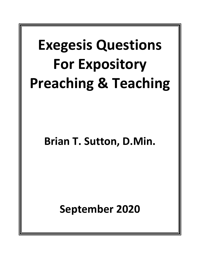# **Exegesis Questions For Expository Preaching & Teaching**

# **Brian T. Sutton, D.Min.**

**September 2020**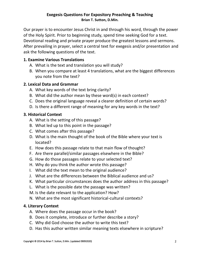#### **Exegesis Questions For Expository Preaching & Teaching Brian T. Sutton, D.Min.**

Our prayer is to encounter Jesus Christ in and through his word, through the power of the Holy Spirit. Prior to beginning study, spend time seeking God for a text. Devotional reading and private prayer produce the greatest lessons and sermons. After prevailing in prayer, select a central text for exegesis and/or presentation and ask the following questions of the text.

# **1. Examine Various Translations**

- A. What is the text and translation you will study?
- B. When you compare at least 4 translations, what are the biggest differences you note from the text?

# **2. Lexical Data and Grammar**

- A. What key words of the text bring clarity?
- B. What did the author mean by these word(s) in each context?
- C. Does the original language reveal a clearer definition of certain words?
- D. Is there a different range of meaning for any key words in the text?

#### **3. Historical Context**

- A. What is the setting of this passage?
- B. What led up to this point in the passage?
- C. What comes after this passage?
- D. What is the main thought of the book of the Bible where your text is located?
- E. How does this passage relate to that main flow of thought?
- F. Are there parallel/similar passages elsewhere in the Bible?
- G. How do those passages relate to your selected text?
- H. Why do you think the author wrote this passage?
- I. What did the text mean to the original audience?
- J. What are the differences between the Biblical audience and us?
- K. What particular circumstances does the author address in this passage?
- L. What is the possible date the passage was written?
- M. Is the date relevant to the application? How?
- N. What are the most significant historical-cultural contexts?

#### **4. Literary Context**

- A. Where does the passage occur in the book?
- B. Does it complete, introduce or further describe a story?
- C. Why did God choose the author to write this text?
- D. Has this author written similar meaning texts elsewhere in scripture?